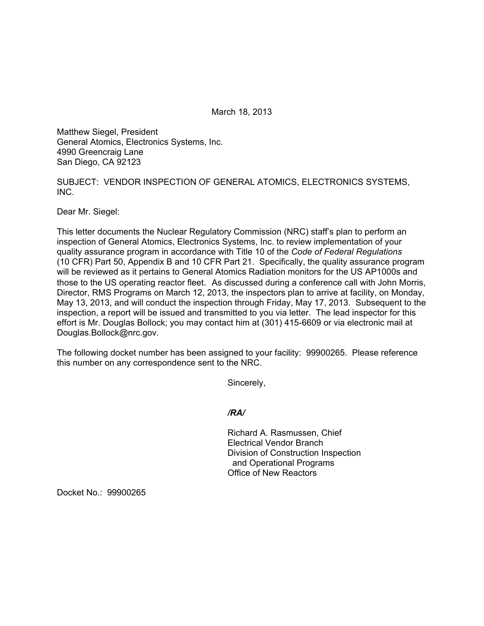March 18, 2013

Matthew Siegel, President General Atomics, Electronics Systems, Inc. 4990 Greencraig Lane San Diego, CA 92123

SUBJECT: VENDOR INSPECTION OF GENERAL ATOMICS, ELECTRONICS SYSTEMS, INC.

Dear Mr. Siegel:

This letter documents the Nuclear Regulatory Commission (NRC) staff's plan to perform an inspection of General Atomics, Electronics Systems, Inc. to review implementation of your quality assurance program in accordance with Title 10 of the *Code of Federal Regulations*  (10 CFR) Part 50, Appendix B and 10 CFR Part 21. Specifically, the quality assurance program will be reviewed as it pertains to General Atomics Radiation monitors for the US AP1000s and those to the US operating reactor fleet. As discussed during a conference call with John Morris, Director, RMS Programs on March 12, 2013, the inspectors plan to arrive at facility, on Monday, May 13, 2013, and will conduct the inspection through Friday, May 17, 2013. Subsequent to the inspection, a report will be issued and transmitted to you via letter. The lead inspector for this effort is Mr. Douglas Bollock; you may contact him at (301) 415-6609 or via electronic mail at Douglas.Bollock@nrc.gov.

The following docket number has been assigned to your facility: 99900265. Please reference this number on any correspondence sent to the NRC.

Sincerely,

## */RA/*

Richard A. Rasmussen, Chief Electrical Vendor Branch Division of Construction Inspection and Operational Programs Office of New Reactors

Docket No.: 99900265